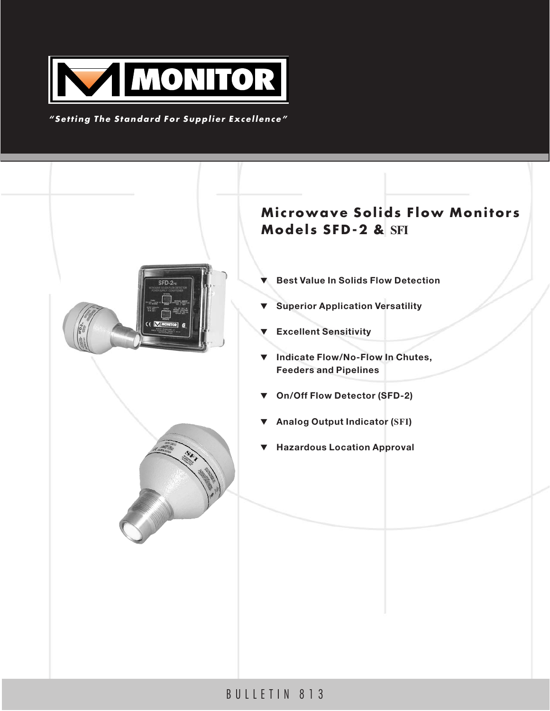

## *"Setting The Standard For Supplier Excellence"*



# BULLETIN 813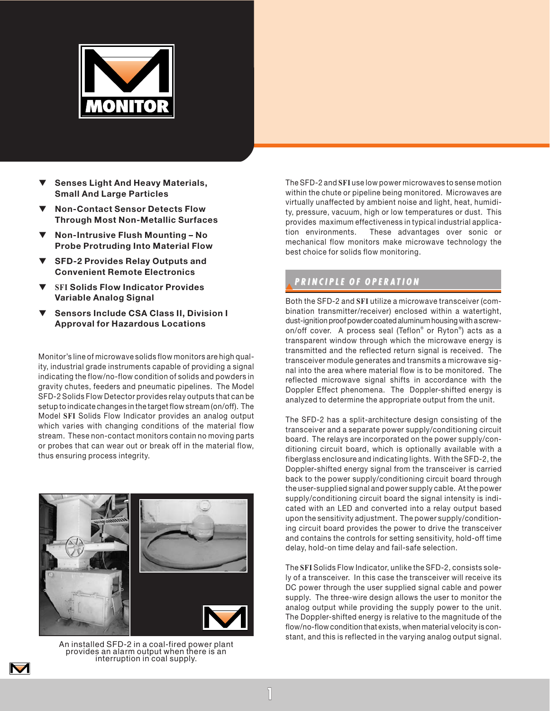

- **Senses Light And Heavy Materials, Small And Large Particles**
- **Non-Contact Sensor Detects Flow Through Most Non-Metallic Surfaces**
- ▼ **Non-Intrusive Flush Mounting No Probe Protruding Into Material Flow**
- **SFD-2 Provides Relay Outputs and Convenient Remote Electronics**
- ▼ **SFI Solids Flow Indicator Provides Variable Analog Signal**
- **Sensors Include CSA Class II, Division I Approval for Hazardous Locations**

Monitor's line of microwave solids flow monitors are high quality, industrial grade instruments capable of providing a signal indicating the flow/no-flow condition of solids and powders in gravity chutes, feeders and pneumatic pipelines. The Model SFD-2 Solids Flow Detector provides relay outputs that can be setup to indicate changes in the target flow stream (on/off). The Model **SFI** Solids Flow Indicator provides an analog output which varies with changing conditions of the material flow stream. These non-contact monitors contain no moving parts or probes that can wear out or break off in the material flow, thus ensuring process integrity.



An installed SFD-2 in a coal-fired power plant provides an alarm output when there is an interruption in coal supply.

M

The SFD-2 and **SFI** use low power microwaves to sense motion within the chute or pipeline being monitored. Microwaves are virtually unaffected by ambient noise and light, heat, humidity, pressure, vacuum, high or low temperatures or dust. This provides maximum effectiveness in typical industrial application environments. These advantages over sonic or mechanical flow monitors make microwave technology the best choice for solids flow monitoring.

## ▼*PRINCIPLE OF OPERA PRINCIPLE OF OPERATION*

Both the SFD-2 and **SFI** utilize a microwave transceiver (combination transmitter/receiver) enclosed within a watertight, dust-ignition proof powder coated aluminum housing with a screwon/off cover. A process seal (Teflon® or Ryton® ) acts as a transparent window through which the microwave energy is transmitted and the reflected return signal is received. The transceiver module generates and transmits a microwave signal into the area where material flow is to be monitored. The reflected microwave signal shifts in accordance with the Doppler Effect phenomena. The Doppler-shifted energy is analyzed to determine the appropriate output from the unit.

The SFD-2 has a split-architecture design consisting of the transceiver and a separate power supply/conditioning circuit board. The relays are incorporated on the power supply/conditioning circuit board, which is optionally available with a fiberglass enclosure and indicating lights. With the SFD-2, the Doppler-shifted energy signal from the transceiver is carried back to the power supply/conditioning circuit board through the user-supplied signal and power supply cable. At the power supply/conditioning circuit board the signal intensity is indicated with an LED and converted into a relay output based upon the sensitivity adjustment. The power supply/conditioning circuit board provides the power to drive the transceiver and contains the controls for setting sensitivity, hold-off time delay, hold-on time delay and fail-safe selection.

The **SFI** Solids Flow Indicator, unlike the SFD-2, consists solely of a transceiver. In this case the transceiver will receive its DC power through the user supplied signal cable and power supply. The three-wire design allows the user to monitor the analog output while providing the supply power to the unit. The Doppler-shifted energy is relative to the magnitude of the flow/no-flow condition that exists, when material velocity is constant, and this is reflected in the varying analog output signal.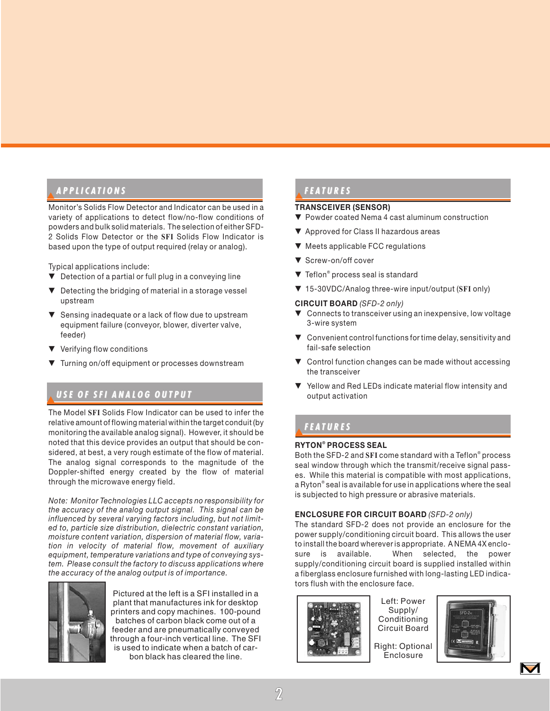## ▼*APPLICA APPLICATIONS*

Monitor's Solids Flow Detector and Indicator can be used in a variety of applications to detect flow/no-flow conditions of powders and bulk solid materials. The selection of either SFD-2 Solids Flow Detector or the **SFI** Solids Flow Indicator is based upon the type of output required (relay or analog).

Typical applications include:

- ▼ Detection of a partial or full plug in a conveying line
- ▼ Detecting the bridging of material in a storage vessel upstream
- ▼ Sensing inadequate or a lack of flow due to upstream equipment failure (conveyor, blower, diverter valve, feeder)
- ▼ Verifying flow conditions
- ▼ Turning on/off equipment or processes downstream

# ▼*USE OF SFI ANALOG OUTPUT USE OF SFI ANALOG OUTPUT*

The Model **SFI** Solids Flow Indicator can be used to infer the relative amount of flowing material within the target conduit (by monitoring the available analog signal). However, it should be noted that this device provides an output that should be considered, at best, a very rough estimate of the flow of material. The analog signal corresponds to the magnitude of the Doppler-shifted energy created by the flow of material through the microwave energy field.

*Note: Monitor Technologies LLC accepts no responsibility for the accuracy of the analog output signal. This signal can be influenced by several varying factors including, but not limited to, particle size distribution, dielectric constant variation, moisture content variation, dispersion of material flow, variation in velocity of material flow, movement of auxiliary equipment, temperature variations and type of conveying system. Please consult the factory to discuss applications where the accuracy of the analog output is of importance.*



Pictured at the left is a SFI installed in a plant that manufactures ink for desktop printers and copy machines. 100-pound batches of carbon black come out of a feeder and are pneumatically conveyed through a four-inch vertical line. The SFI is used to indicate when a batch of carbon black has cleared the line.

# ▼*FEA TURES*

#### **TRANSCEIVER (SENSOR)**

- ▼ Powder coated Nema 4 cast aluminum construction
- ▼ Approved for Class II hazardous areas
- ▼ Meets applicable FCC regulations
- ▼ Screw-on/off cover
- ▼ Teflon® process seal is standard
- ▼ 15-30VDC/Analog three-wire input/output (**SFI** only)

#### **CIRCUIT BOARD** *(SFD-2 only)*

- ▼ Connects to transceiver using an inexpensive, low voltage 3-wire system
- ▼ Convenient control functions for time delay, sensitivity and fail-safe selection
- ▼ Control function changes can be made without accessing the transceiver
- ▼ Yellow and Red LEDs indicate material flow intensity and output activation

# ▼*FEA TURES*

### **RYTON® PROCESS SEAL**

Both the SFD-2 and **SFI** come standard with a Teflon® process seal window through which the transmit/receive signal passes. While this material is compatible with most applications, a Ryton® seal is available for use in applications where the seal is subjected to high pressure or abrasive materials.

### **ENCLOSURE FOR CIRCUIT BOARD** *(SFD-2 only)*

The standard SFD-2 does not provide an enclosure for the power supply/conditioning circuit board. This allows the user to install the board wherever is appropriate. A NEMA 4X enclosure is available. When selected, the power supply/conditioning circuit board is supplied installed within a fiberglass enclosure furnished with long-lasting LED indicators flush with the enclosure face.



Left: Power Supply/ Conditioning Circuit Board

Right: Optional **Enclosure** 



 $\blacktriangledown$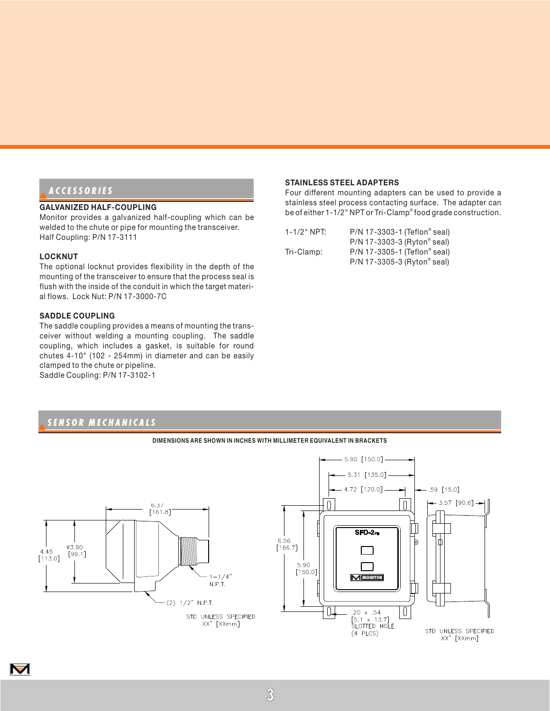## ▼*ACCESSORIES ACCESSORIES*

### **GALVANIZED HALF-COUPLING**

Monitor provides a galvanized half-coupling which can be welded to the chute or pipe for mounting the transceiver. Half Coupling: P/N 17-3111

#### **LOCKNUT**

M

The optional locknut provides flexibility in the depth of the mounting of the transceiver to ensure that the process seal is flush with the inside of the conduit in which the target material flows. Lock Nut: P/N 17-3000-7C

#### **SADDLE COUPLING**

The saddle coupling provides a means of mounting the transceiver without welding a mounting coupling. The saddle coupling, which includes a gasket, is suitable for round chutes 4-10" (102 - 254mm) in diameter and can be easily clamped to the chute or pipeline. Saddle Coupling: P/N 17-3102-1

## ▼*SENSOR MECHANICALS SENSOR MECHANICALS*



**DIMENSIONS ARE SHOWN IN INCHES WITH MILLIMETER EQUIVALENT IN BRACKETS**

# **STAINLESS STEEL ADAPTERS**

Four different mounting adapters can be used to provide a stainless steel process contacting surface. The adapter can be of either 1-1/2" NPT or Tri-Clamp® food grade construction.

| $1 - 1/2$ " NPT: | P/N 17-3303-1 (Teflon® seal) |
|------------------|------------------------------|
|                  | P/N 17-3303-3 (Ryton® seal)  |
| Tri-Clamp:       | P/N 17-3305-1 (Teflon® seal) |
|                  | P/N 17-3305-3 (Ryton® seal)  |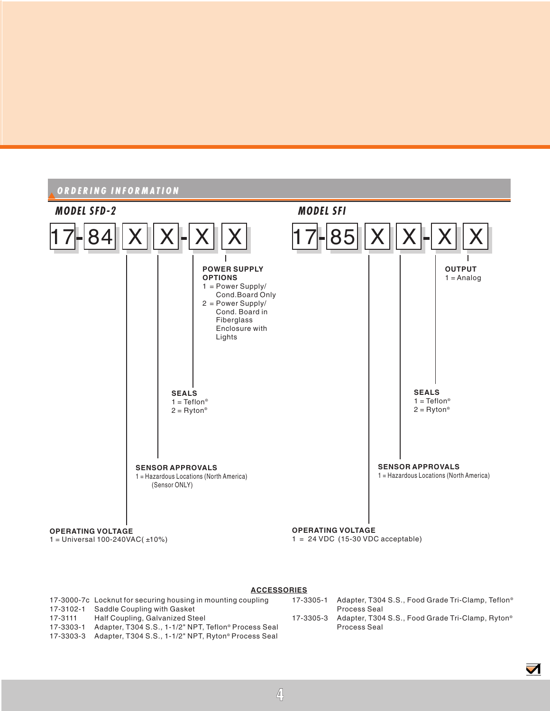

#### **ACCESSORIES**

|           | 17-3000-7c Locknut for securing housing in mounting coupling  | 17-3305-1 | Adapter, T304 S.S., Food Grade Tri-Clamp, Teflon <sup>®</sup> |
|-----------|---------------------------------------------------------------|-----------|---------------------------------------------------------------|
|           | 17-3102-1 Saddle Coupling with Gasket                         |           | Process Seal                                                  |
| 17-3111   | Half Coupling, Galvanized Steel                               | 17-3305-3 | Adapter, T304 S.S., Food Grade Tri-Clamp, Ryton <sup>®</sup>  |
| 17-3303-1 | Adapter, T304 S.S., 1-1/2" NPT, Teflon® Process Seal          |           | Process Seal                                                  |
|           | 17-3303-3 Adapter, T304 S.S., 1-1/2" NPT, Ryton® Process Seal |           |                                                               |
|           |                                                               |           |                                                               |

 $\blacktriangledown$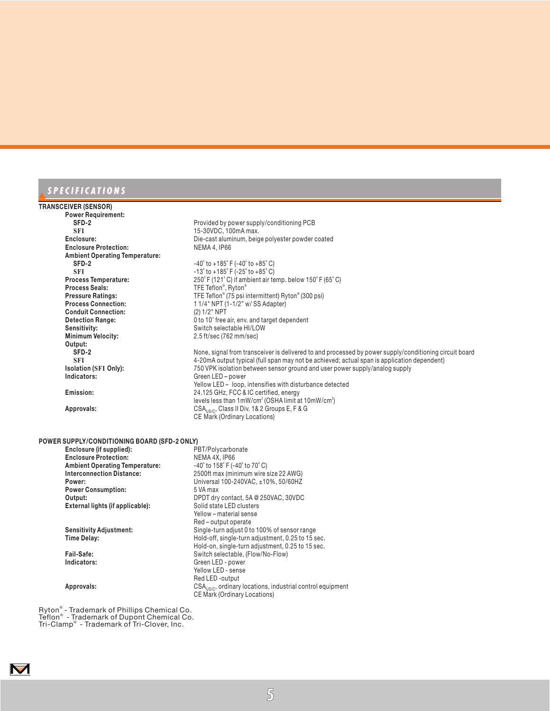# ▼*SPECIFICA SPECIFICATIONS*

#### **TRANSCEIVER (SENSOR)**

| <b>TRANSCEIVER (SENSOR)</b>                  |                                                                                                        |  |  |
|----------------------------------------------|--------------------------------------------------------------------------------------------------------|--|--|
| <b>Power Requirement:</b>                    |                                                                                                        |  |  |
| SFD-2                                        | Provided by power supply/conditioning PCB                                                              |  |  |
| <b>SFI</b>                                   | 15-30VDC, 100mA max.                                                                                   |  |  |
| Enclosure:                                   | Die-cast aluminum, beige polyester powder coated                                                       |  |  |
| <b>Enclosure Protection:</b>                 | NEMA 4, IP66                                                                                           |  |  |
| <b>Ambient Operating Temperature:</b>        |                                                                                                        |  |  |
| SFD-2                                        | $-40^{\circ}$ to $+185^{\circ}$ F ( $-40^{\circ}$ to $+85^{\circ}$ C)                                  |  |  |
| <b>SFI</b>                                   | $-13^{\circ}$ to $+185^{\circ}$ F ( $-25^{\circ}$ to $+85^{\circ}$ C)                                  |  |  |
| <b>Process Temperature:</b>                  | 250°F (121°C) if ambient air temp. below 150°F (65°C)                                                  |  |  |
| <b>Process Seals:</b>                        | TFE Teflon®, Ryton®                                                                                    |  |  |
| <b>Pressure Ratings:</b>                     | TFE Teflon® (75 psi intermittent) Ryton® (300 psi)                                                     |  |  |
| <b>Process Connection:</b>                   | 1 1/4" NPT (1-1/2" w/ SS Adapter)                                                                      |  |  |
| <b>Conduit Connection:</b>                   | (2) 1/2" NPT                                                                                           |  |  |
| <b>Detection Range:</b>                      | 0 to 10' free air, env. and target dependent                                                           |  |  |
| Sensitivity:                                 | Switch selectable HI/LOW                                                                               |  |  |
| <b>Minimum Velocity:</b>                     | 2.5 ft/sec (762 mm/sec)                                                                                |  |  |
| Output:                                      |                                                                                                        |  |  |
| SFD-2                                        | None, signal from transceiver is delivered to and processed by power supply/conditioning circuit board |  |  |
| <b>SFI</b>                                   | 4-20mA output typical (full span may not be achieved; actual span is application dependent)            |  |  |
| <b>Isolation (SFI Only):</b>                 | 750 VPK isolation between sensor ground and user power supply/analog supply                            |  |  |
| Indicators:                                  | Green LED - power                                                                                      |  |  |
|                                              | Yellow LED - loop, intensifies with disturbance detected                                               |  |  |
| Emission:                                    | 24.125 GHz, FCC & IC certified, energy                                                                 |  |  |
|                                              | levels less than 1mW/cm <sup>2</sup> (OSHA limit at 10mW/cm <sup>2</sup> )                             |  |  |
| Approvals:                                   | CSA <sub>US/C</sub> , Class II Div. 1& 2 Groups E, F & G                                               |  |  |
|                                              | <b>CE Mark (Ordinary Locations)</b>                                                                    |  |  |
|                                              |                                                                                                        |  |  |
| POWER SUPPLY/CONDITIONING BOARD (SFD-2 ONLY) |                                                                                                        |  |  |
| Enclosure (if supplied):                     | PBT/Polycarbonate                                                                                      |  |  |
| <b>Enclosure Protection:</b>                 | NEMA 4X, IP66                                                                                          |  |  |
| <b>Ambient Operating Temperature:</b>        | $-40^{\circ}$ to $158^{\circ}$ F ( $-40^{\circ}$ to $70^{\circ}$ C)                                    |  |  |
| <b>Interconnection Distance:</b>             | 2500ft max (minimum wire size 22 AWG)                                                                  |  |  |
| Power:                                       | Universal 100-240VAC, ±10%, 50/60HZ                                                                    |  |  |
| <b>Power Consumption:</b>                    | 5 VA max                                                                                               |  |  |
| Output:                                      | DPDT dry contact, 5A @ 250VAC, 30VDC                                                                   |  |  |
| External lights (if applicable):             | Solid state LED clusters                                                                               |  |  |
|                                              | Yellow - material sense                                                                                |  |  |
|                                              | Red – output operate                                                                                   |  |  |
| <b>Sensitivity Adjustment:</b>               | Single-turn adjust 0 to 100% of sensor range                                                           |  |  |
| <b>Time Delay:</b>                           | Hold-off, single-turn adjustment, 0.25 to 15 sec.                                                      |  |  |
|                                              | Hold-on, single-turn adjustment, 0.25 to 15 sec.                                                       |  |  |
| Fail-Safe:                                   | Switch selectable, (Flow/No-Flow)                                                                      |  |  |
| Indicators:                                  | Green LED - power                                                                                      |  |  |
|                                              | Yellow LED - sense                                                                                     |  |  |
|                                              | Red LED -output                                                                                        |  |  |

Ryton® - Trademark of Phillips Chemical Co. Teflon® - Trademark of Dupont Chemical Co. Tri-Clamp® - Trademark of Tri-Clover, Inc.

 $\blacksquare$ 

**5**

**Approvals:** CSAUS/C, ordinary locations, industrial control equipment CE Mark (Ordinary Locations)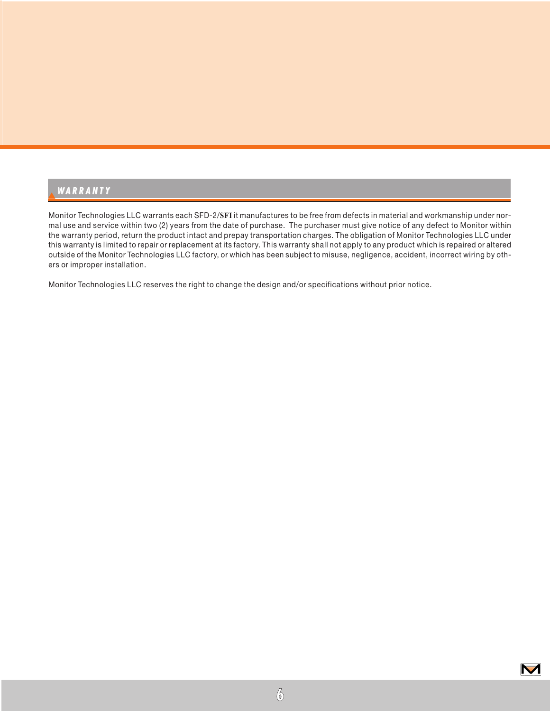# ▼*WARRANTY ARRANTY*

Monitor Technologies LLC warrants each SFD-2/**SFI** it manufactures to be free from defects in material and workmanship under normal use and service within two (2) years from the date of purchase. The purchaser must give notice of any defect to Monitor within the warranty period, return the product intact and prepay transportation charges. The obligation of Monitor Technologies LLC under this warranty is limited to repair or replacement at its factory. This warranty shall not apply to any product which is repaired or altered outside of the Monitor Technologies LLC factory, or which has been subject to misuse, negligence, accident, incorrect wiring by others or improper installation.

Monitor Technologies LLC reserves the right to change the design and/or specifications without prior notice.